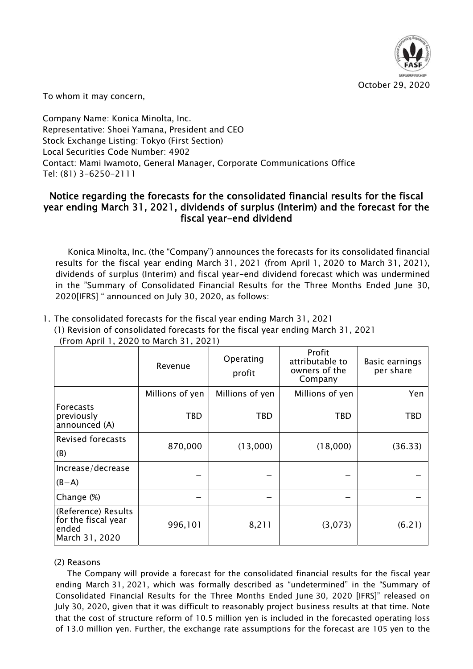

To whom it may concern,

Company Name: Konica Minolta, Inc. Representative: Shoei Yamana, President and CEO Stock Exchange Listing: Tokyo (First Section) Local Securities Code Number: 4902 Contact: Mami Iwamoto, General Manager, Corporate Communications Office Tel: (81) 3-6250-2111

1. The consolidated forecasts for the fiscal year ending March 31, 2021

# Notice regarding the forecasts for the consolidated financial results for the fiscal year ending March 31, 2021, dividends of surplus (Interim) and the forecast for the fiscal year-end dividend

Konica Minolta, Inc. (the "Company") announces the forecasts for its consolidated financial results for the fiscal year ending March 31, 2021 (from April 1, 2020 to March 31, 2021), dividends of surplus (Interim) and fiscal year-end dividend forecast which was undermined in the "Summary of Consolidated Financial Results for the Three Months Ended June 30, 2020[IFRS] " announced on July 30, 2020, as follows:

|                                                                       | Revenue         | Operating<br>profit | Profit<br>attributable to<br>owners of the<br>Company | Basic earnings<br>per share |
|-----------------------------------------------------------------------|-----------------|---------------------|-------------------------------------------------------|-----------------------------|
|                                                                       | Millions of yen | Millions of yen     | Millions of yen                                       | Yen                         |
| <b>Forecasts</b><br>previously<br>announced (A)                       | <b>TBD</b>      | <b>TBD</b>          | TBD                                                   | TBD                         |
| <b>Revised forecasts</b><br>(B)                                       | 870,000         | (13,000)            | (18,000)                                              | (36.33)                     |
| Increase/decrease<br>$(B-A)$                                          |                 |                     |                                                       |                             |
| Change (%)                                                            |                 |                     |                                                       |                             |
| (Reference) Results<br>for the fiscal year<br>ended<br>March 31, 2020 | 996,101         | 8,211               | (3,073)                                               | (6.21)                      |

(1) Revision of consolidated forecasts for the fiscal year ending March 31, 2021 (From April 1, 2020 to March 31, 2021)

## (2) Reasons

The Company will provide a forecast for the consolidated financial results for the fiscal year ending March 31, 2021, which was formally described as "undetermined" in the "Summary of Consolidated Financial Results for the Three Months Ended June 30, 2020 [IFRS]" released on July 30, 2020, given that it was difficult to reasonably project business results at that time. Note that the cost of structure reform of 10.5 million yen is included in the forecasted operating loss of 13.0 million yen. Further, the exchange rate assumptions for the forecast are 105 yen to the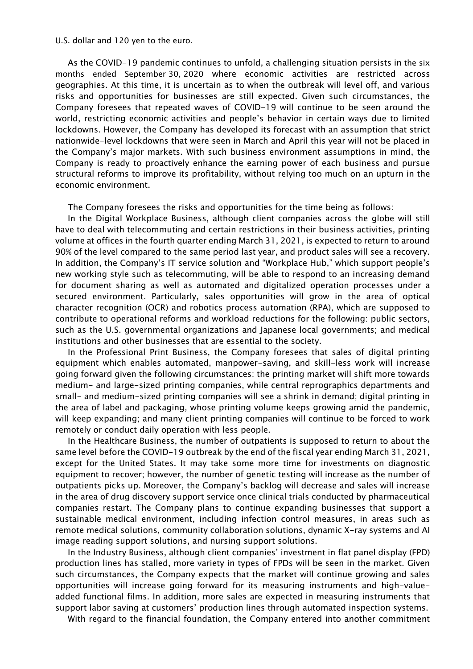### U.S. dollar and 120 yen to the euro.

As the COVID-19 pandemic continues to unfold, a challenging situation persists in the six months ended September 30, 2020 where economic activities are restricted across geographies. At this time, it is uncertain as to when the outbreak will level off, and various risks and opportunities for businesses are still expected. Given such circumstances, the Company foresees that repeated waves of COVID-19 will continue to be seen around the world, restricting economic activities and people's behavior in certain ways due to limited lockdowns. However, the Company has developed its forecast with an assumption that strict nationwide-level lockdowns that were seen in March and April this year will not be placed in the Company's major markets. With such business environment assumptions in mind, the Company is ready to proactively enhance the earning power of each business and pursue structural reforms to improve its profitability, without relying too much on an upturn in the economic environment.

The Company foresees the risks and opportunities for the time being as follows:

In the Digital Workplace Business, although client companies across the globe will still have to deal with telecommuting and certain restrictions in their business activities, printing volume at offices in the fourth quarter ending March 31, 2021, is expected to return to around 90% of the level compared to the same period last year, and product sales will see a recovery. In addition, the Company's IT service solution and "Workplace Hub," which support people's new working style such as telecommuting, will be able to respond to an increasing demand for document sharing as well as automated and digitalized operation processes under a secured environment. Particularly, sales opportunities will grow in the area of optical character recognition (OCR) and robotics process automation (RPA), which are supposed to contribute to operational reforms and workload reductions for the following: public sectors, such as the U.S. governmental organizations and Japanese local governments; and medical institutions and other businesses that are essential to the society.

In the Professional Print Business, the Company foresees that sales of digital printing equipment which enables automated, manpower-saving, and skill-less work will increase going forward given the following circumstances: the printing market will shift more towards medium- and large-sized printing companies, while central reprographics departments and small- and medium-sized printing companies will see a shrink in demand; digital printing in the area of label and packaging, whose printing volume keeps growing amid the pandemic, will keep expanding; and many client printing companies will continue to be forced to work remotely or conduct daily operation with less people.

In the Healthcare Business, the number of outpatients is supposed to return to about the same level before the COVID-19 outbreak by the end of the fiscal year ending March 31, 2021, except for the United States. It may take some more time for investments on diagnostic equipment to recover; however, the number of genetic testing will increase as the number of outpatients picks up. Moreover, the Company's backlog will decrease and sales will increase in the area of drug discovery support service once clinical trials conducted by pharmaceutical companies restart. The Company plans to continue expanding businesses that support a sustainable medical environment, including infection control measures, in areas such as remote medical solutions, community collaboration solutions, dynamic X-ray systems and AI image reading support solutions, and nursing support solutions.

In the Industry Business, although client companies' investment in flat panel display (FPD) production lines has stalled, more variety in types of FPDs will be seen in the market. Given such circumstances, the Company expects that the market will continue growing and sales opportunities will increase going forward for its measuring instruments and high-valueadded functional films. In addition, more sales are expected in measuring instruments that support labor saving at customers' production lines through automated inspection systems.

With regard to the financial foundation, the Company entered into another commitment